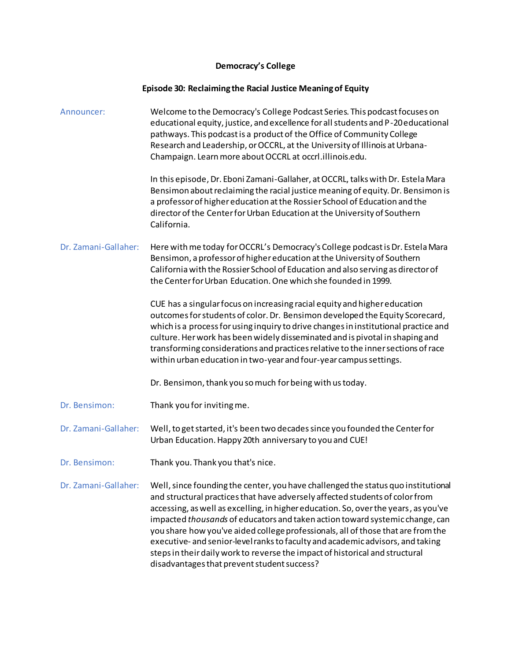## **Democracy's College**

## **Episode 30: Reclaiming the Racial Justice Meaning of Equity**

| Announcer:           | Welcome to the Democracy's College Podcast Series. This podcast focuses on<br>educational equity, justice, and excellence for all students and P-20 educational<br>pathways. This podcast is a product of the Office of Community College<br>Research and Leadership, or OCCRL, at the University of Illinois at Urbana-<br>Champaign. Learn more about OCCRL at occrl.illinois.edu.                                                                                                                                                                                                                                                          |
|----------------------|-----------------------------------------------------------------------------------------------------------------------------------------------------------------------------------------------------------------------------------------------------------------------------------------------------------------------------------------------------------------------------------------------------------------------------------------------------------------------------------------------------------------------------------------------------------------------------------------------------------------------------------------------|
|                      | In this episode, Dr. Eboni Zamani-Gallaher, at OCCRL, talks with Dr. Estela Mara<br>Bensimon about reclaiming the racial justice meaning of equity. Dr. Bensimon is<br>a professor of higher education at the Rossier School of Education and the<br>director of the Center for Urban Education at the University of Southern<br>California.                                                                                                                                                                                                                                                                                                  |
| Dr. Zamani-Gallaher: | Here with me today for OCCRL's Democracy's College podcast is Dr. Estela Mara<br>Bensimon, a professor of higher education at the University of Southern<br>California with the Rossier School of Education and also serving as director of<br>the Center for Urban Education. One which she founded in 1999.                                                                                                                                                                                                                                                                                                                                 |
|                      | CUE has a singular focus on increasing racial equity and higher education<br>outcomes for students of color. Dr. Bensimon developed the Equity Scorecard,<br>which is a process for using inquiry to drive changes in institutional practice and<br>culture. Her work has been widely disseminated and is pivotal in shaping and<br>transforming considerations and practices relative to the inner sections of race<br>within urban education in two-year and four-year campus settings.                                                                                                                                                     |
|                      | Dr. Bensimon, thank you so much for being with us today.                                                                                                                                                                                                                                                                                                                                                                                                                                                                                                                                                                                      |
| Dr. Bensimon:        | Thank you for inviting me.                                                                                                                                                                                                                                                                                                                                                                                                                                                                                                                                                                                                                    |
| Dr. Zamani-Gallaher: | Well, to get started, it's been two decades since you founded the Center for<br>Urban Education. Happy 20th anniversary to you and CUE!                                                                                                                                                                                                                                                                                                                                                                                                                                                                                                       |
| Dr. Bensimon:        | Thank you. Thank you that's nice.                                                                                                                                                                                                                                                                                                                                                                                                                                                                                                                                                                                                             |
| Dr. Zamani-Gallaher: | Well, since founding the center, you have challenged the status quo institutional<br>and structural practices that have adversely affected students of color from<br>accessing, as well as excelling, in higher education. So, over the years, as you've<br>impacted thousands of educators and taken action toward systemic change, can<br>you share how you've aided college professionals, all of those that are from the<br>executive- and senior-level ranks to faculty and academic advisors, and taking<br>steps in their daily work to reverse the impact of historical and structural<br>disadvantages that prevent student success? |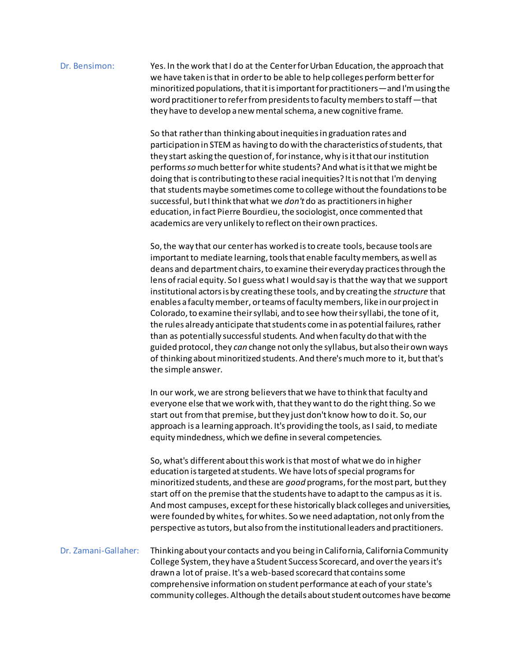## Dr. Bensimon: Yes. In the work that I do at the Center for Urban Education, the approach that we have taken is that in order to be able to help colleges perform better for minoritized populations, thatit is important for practitioners—and I'm using the word practitioner to refer from presidents to faculty members to staff—that they have to develop a new mental schema, a new cognitive frame.

So that rather than thinking about inequities in graduation rates and participation in STEM as having to do with the characteristics of students, that they start asking the question of, for instance, why is it that our institution performs *so*much better for white students? And what is it that we might be doing that is contributing to these racial inequities? It is not that I'm denying that students maybe sometimes come to college without the foundations to be successful, but I think that what we *don't* do as practitioners in higher education, in fact Pierre Bourdieu, the sociologist, once commented that academics are very unlikely to reflect on their own practices.

So, the way that our center has worked is to create tools, because tools are important to mediate learning, tools that enable faculty members, as well as deans and department chairs,to examine their everyday practices through the lens of racial equity. So I guess what I would say is that the way that we support institutional actors is by creating these tools, and by creating the *structure* that enables a faculty member, or teams of faculty members, like in our project in Colorado, to examine their syllabi, and to see how their syllabi, the tone of it, the rules already anticipate that students come in as potential failures, rather than as potentially successful students. And when faculty do that with the guided protocol, they *can* change not only the syllabus, but also their own ways of thinking about minoritized students. And there's much more to it, but that's the simple answer.

In our work, we are strong believers that we have to think that faculty and everyone else that we work with, that they want to do the right thing. So we start out from that premise, but they just don't know how to do it. So, our approach is a learning approach. It's providing the tools, as I said, to mediate equity mindedness, which we define in several competencies.

So, what's different about this work is that most of what we do in higher education is targeted at students. We have lots of special programs for minoritized students, and these are *good* programs,for the most part, but they start off on the premise that the students have to adapt to the campus as it is. And most campuses, except for these historically black colleges and universities, were founded by whites, for whites. So we need adaptation, not only from the perspective as tutors, but also from the institutional leaders and practitioners.

Dr. Zamani-Gallaher: Thinking about your contacts and you being in California, California Community College System, they have a Student Success Scorecard, and over the years it's drawn a lot of praise. It's a web-based scorecard that contains some comprehensive information on student performance at each of your state's community colleges. Although the details about student outcomes have become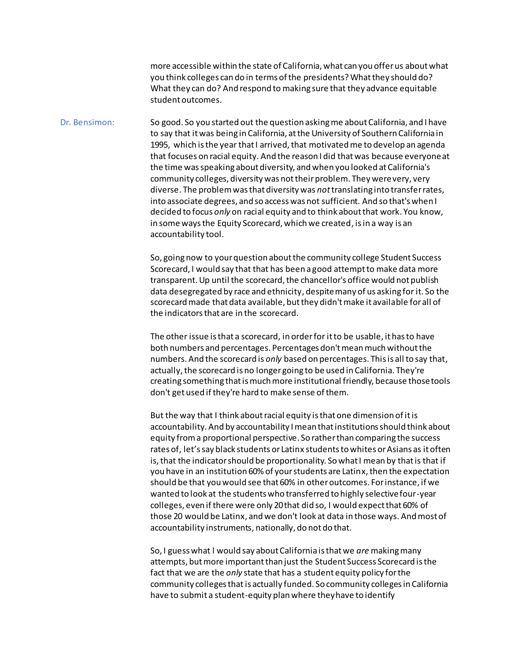more accessible within the state of California, what can you offer us about what you think colleges can do in terms of the presidents?What they should do? What they can do? And respond to making sure that they advance equitable student outcomes.

Dr. Bensimon: So good. So you started out the question asking me about California, and I have to say that it was being in California, at the University of Southern California in 1995, which is the year that I arrived, that motivated me to develop an agenda that focuses on racial equity. And the reason I did that was because everyone at the time was speaking about diversity, and when you looked at California's community colleges, diversity was not their problem. They were very, very diverse. The problem was that diversity was *not*translating into transfer rates, into associate degrees, and so access was not sufficient. And so that's when I decided to focus *only* on racial equity and to think about that work. You know, in some ways the Equity Scorecard, which we created, is in a way is an accountability tool.

> So, going now to your question about the community college Student Success Scorecard, I would say that that has been a good attempt to make data more transparent. Up until the scorecard, the chancellor's office would not publish data desegregated by race and ethnicity, despite many of us asking for it. So the scorecard made that data available, but they didn't make it available for all of the indicators that are in the scorecard.

> The other issue is that a scorecard, in order for it to be usable, it has to have both numbers and percentages. Percentages don't mean much without the numbers. And the scorecard is *only* based on percentages. This is all to say that, actually, the scorecard is no longer going to be used in California. They're creating something that is much more institutional friendly, because those tools don't get used if they're hard to make sense of them.

> But the way that I think about racial equity is that one dimension of it is accountability. And by accountability I mean that institutions should think about equity from a proportional perspective. So rather than comparing the success rates of, let's say black students or Latinx students to whites or Asians as it often is, that the indicator should be proportionality. So what I mean by that is that if you have in an institution 60% of your students are Latinx, then the expectation should be that you would see that 60% in other outcomes. For instance, if we wanted to look at the students who transferred to highly selective four-year colleges, even if there were only 20 that did so, I would expect that 60% of those 20 would be Latinx, and we don't look at data in those ways. And most of accountability instruments, nationally, do not do that.

> So, I guess what I would say about California is that we *are* making many attempts, but more important than just the Student Success Scorecard is the fact that we are the *only* state that has a student equity policy for the community colleges that is actually funded. So community colleges in California have to submit a student-equity plan where they have to identify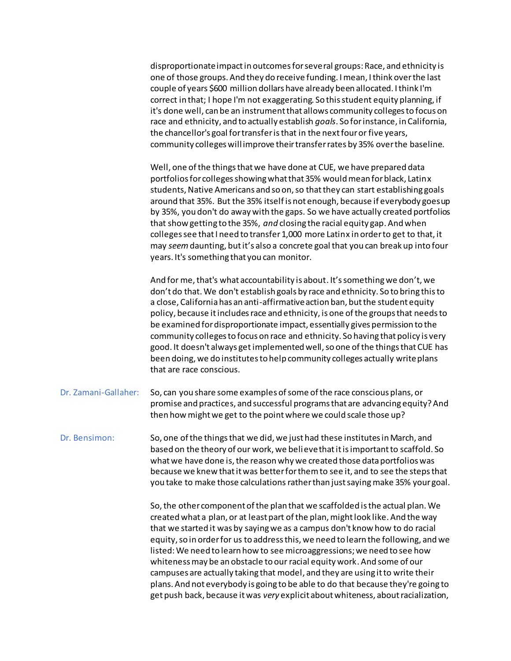disproportionate impact in outcomes for several groups:Race, and ethnicity is one of those groups. And they do receive funding. I mean, I think over the last couple of years \$600 million dollars have already been allocated. I think I'm correct in that; I hope I'm not exaggerating. So this student equity planning, if it's done well, can be an instrument that allows community colleges to focus on race and ethnicity, and to actually establish *goals*. So for instance, in California, the chancellor's goal for transfer is that in the next four or five years, community colleges will improve their transfer rates by 35% over the baseline.

Well, one of the things that we have done at CUE, we have prepared data portfolios for colleges showing what that 35% would mean for black, Latinx students, Native Americans and so on, so that they can start establishing goals around that 35%. But the 35% itself is not enough, because if everybody goes up by 35%, you don't do away with the gaps. So we have actually created portfolios that show getting to the 35%, *and* closing the racial equity gap. And when colleges see that I need to transfer 1,000 more Latinx in order to get to that, it may *seem*daunting, but it's also a concrete goal that you can break up into four years. It's something that you can monitor.

And for me, that's what accountability is about. It's something we don't, we don't do that. We don't establish goals by race and ethnicity. So to bring this to a close, California has an anti-affirmative action ban, but the student equity policy, because it includes race and ethnicity, is one of the groups that needs to be examined for disproportionate impact, essentially gives permission to the community colleges to focus on race and ethnicity. So having that policy is very good. It doesn't always get implemented well, so one of the things that CUE has been doing, we do institutes to help community colleges actually writeplans that are race conscious.

Dr. Zamani-Gallaher: So, can you share some examples of some of the race conscious plans, or promise and practices, and successful programs that are advancing equity? And then how might we get to the point where we could scale those up?

Dr. Bensimon: So, one of the things that we did, we just had these institutes in March, and based on the theory of our work, we believe that it is important to scaffold. So what we have done is, the reason why we created those data portfolios was because we knew that it was better for them to see it, and to see the steps that you take to make those calculations rather than just saying make 35% your goal.

> So, the other component of the plan that we scaffolded is the actual plan. We created what a plan, or at least part of the plan, might look like. And the way that we started it was by saying we as a campus don't know how to do racial equity, so in order for us to address this, we need to learn the following, and we listed: We need to learn how to see microaggressions;we need to see how whiteness may be an obstacle to our racial equity work. And some of our campuses are actually taking that model, and they are using it to write their plans. And not everybody is going to be able to do that because they're going to get push back, because it was *very* explicit about whiteness, about racialization,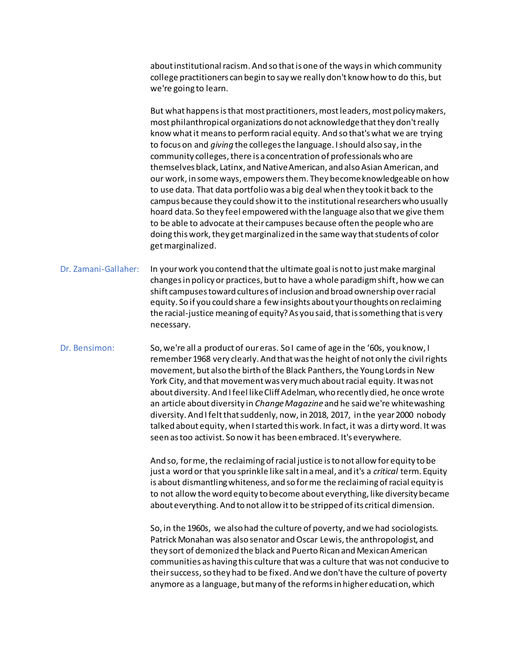about institutional racism. And so that is one of the ways in which community college practitioners can begin to say we really don't know how to do this, but we're going to learn.

But what happens is that most practitioners, most leaders, most policymakers, most philanthropical organizations do not acknowledge that they don't really know what it means to perform racial equity. And so that's what we are trying to focus on and *giving* the colleges the language. I should also say, in the community colleges, there is a concentration of professionals who are themselves black, Latinx, and Native American, and also Asian American, and our work, in some ways, empowers them. They become knowledgeable on how to use data. That data portfolio was a big deal when they took it back to the campus because they could show it to the institutional researchers who usually hoard data. So they feel empowered with the language also that we give them to be able to advocate at their campuses because often the people who are doing this work, they get marginalized in the same way that students of color get marginalized.

Dr. Zamani-Gallaher: In your work you contend that the ultimate goal is not to just make marginal changes in policy or practices, but to have a whole paradigm shift, how we can shift campuses toward cultures of inclusion and broad ownership over racial equity. So if you could share a few insights about your thoughts on reclaiming the racial-justice meaning of equity? As you said, that is something that is very necessary.

Dr. Bensimon: So, we're all a product of our eras. So I came of age in the '60s, you know, I remember 1968 very clearly. And that was the height of not only the civil rights movement, but also the birth of the Black Panthers, the Young Lords in New York City, and that movement was very much about racial equity. It was not about diversity. And I feel like Cliff Adelman, who recently died, he once wrote an article about diversity in *Change Magazine* and he said we're whitewashing diversity. And I felt that suddenly, now, in 2018, 2017, in the year 2000 nobody talked about equity, when I started this work. In fact, it was a dirty word. It was seen as too activist. So now it has been embraced. It's everywhere.

> And so, for me, the reclaiming of racial justice is to not allow for equity to be just a word or that you sprinkle like salt in a meal, and it's a *critical* term. Equity is about dismantling whiteness, and so for me the reclaiming of racial equity is to not allow the word equity to become about everything, like diversity became about everything. And to not allow it to be stripped of its critical dimension.

> So, in the 1960s, we also had the culture of poverty, and we had sociologists. Patrick Monahan was also senator and Oscar Lewis, the anthropologist, and they sort of demonized the black and Puerto Rican and Mexican American communities as having this culture that was a culture that was not conducive to their success, so they had to be fixed. And we don't have the culture of poverty anymore as a language, but many of the reforms in higher education, which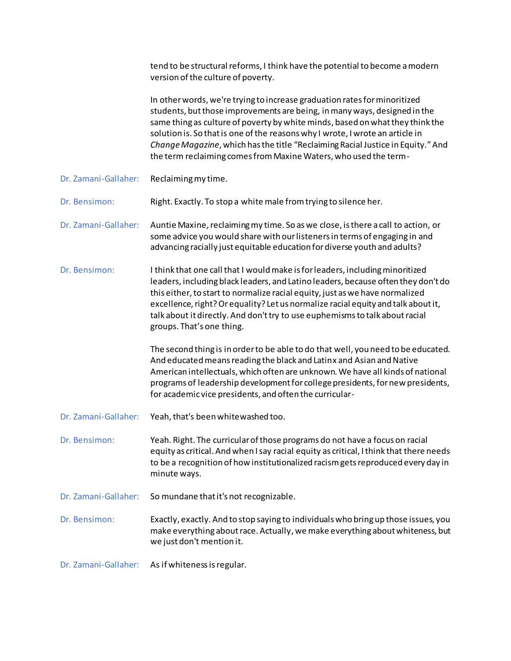|                      | tend to be structural reforms, I think have the potential to become a modern<br>version of the culture of poverty.                                                                                                                                                                                                                                                                                                                                                              |
|----------------------|---------------------------------------------------------------------------------------------------------------------------------------------------------------------------------------------------------------------------------------------------------------------------------------------------------------------------------------------------------------------------------------------------------------------------------------------------------------------------------|
|                      | In other words, we're trying to increase graduation rates for minoritized<br>students, but those improvements are being, in many ways, designed in the<br>same thing as culture of poverty by white minds, based on what they think the<br>solution is. So that is one of the reasons why I wrote, I wrote an article in<br>Change Magazine, which has the title "Reclaiming Racial Justice in Equity." And<br>the term reclaiming comes from Maxine Waters, who used the term- |
| Dr. Zamani-Gallaher: | Reclaiming my time.                                                                                                                                                                                                                                                                                                                                                                                                                                                             |
| Dr. Bensimon:        | Right. Exactly. To stop a white male from trying to silence her.                                                                                                                                                                                                                                                                                                                                                                                                                |
| Dr. Zamani-Gallaher: | Auntie Maxine, reclaiming my time. So as we close, is there a call to action, or<br>some advice you would share with our listeners in terms of engaging in and<br>advancing racially just equitable education for diverse youth and adults?                                                                                                                                                                                                                                     |
| Dr. Bensimon:        | I think that one call that I would make is for leaders, including minoritized<br>leaders, including black leaders, and Latino leaders, because often they don't do<br>this either, to start to normalize racial equity, just as we have normalized<br>excellence, right? Or equality? Let us normalize racial equity and talk about it,<br>talk about it directly. And don't try to use euphemisms to talk about racial<br>groups. That's one thing.                            |
|                      | The second thing is in order to be able to do that well, you need to be educated.<br>And educated means reading the black and Latinx and Asian and Native<br>American intellectuals, which often are unknown. We have all kinds of national<br>programs of leadership development for college presidents, for new presidents,<br>for academic vice presidents, and often the curricular-                                                                                        |
| Dr. Zamani-Gallaher: | Yeah, that's been whitewashed too.                                                                                                                                                                                                                                                                                                                                                                                                                                              |
| Dr. Bensimon:        | Yeah. Right. The curricular of those programs do not have a focus on racial<br>equity as critical. And when I say racial equity as critical, I think that there needs<br>to be a recognition of how institutionalized racism gets reproduced every day in<br>minute ways.                                                                                                                                                                                                       |
| Dr. Zamani-Gallaher: | So mundane that it's not recognizable.                                                                                                                                                                                                                                                                                                                                                                                                                                          |
| Dr. Bensimon:        | Exactly, exactly. And to stop saying to individuals who bring up those issues, you<br>make everything about race. Actually, we make everything about whiteness, but<br>we just don't mention it.                                                                                                                                                                                                                                                                                |
| Dr. Zamani-Gallaher: | As if whiteness is regular.                                                                                                                                                                                                                                                                                                                                                                                                                                                     |